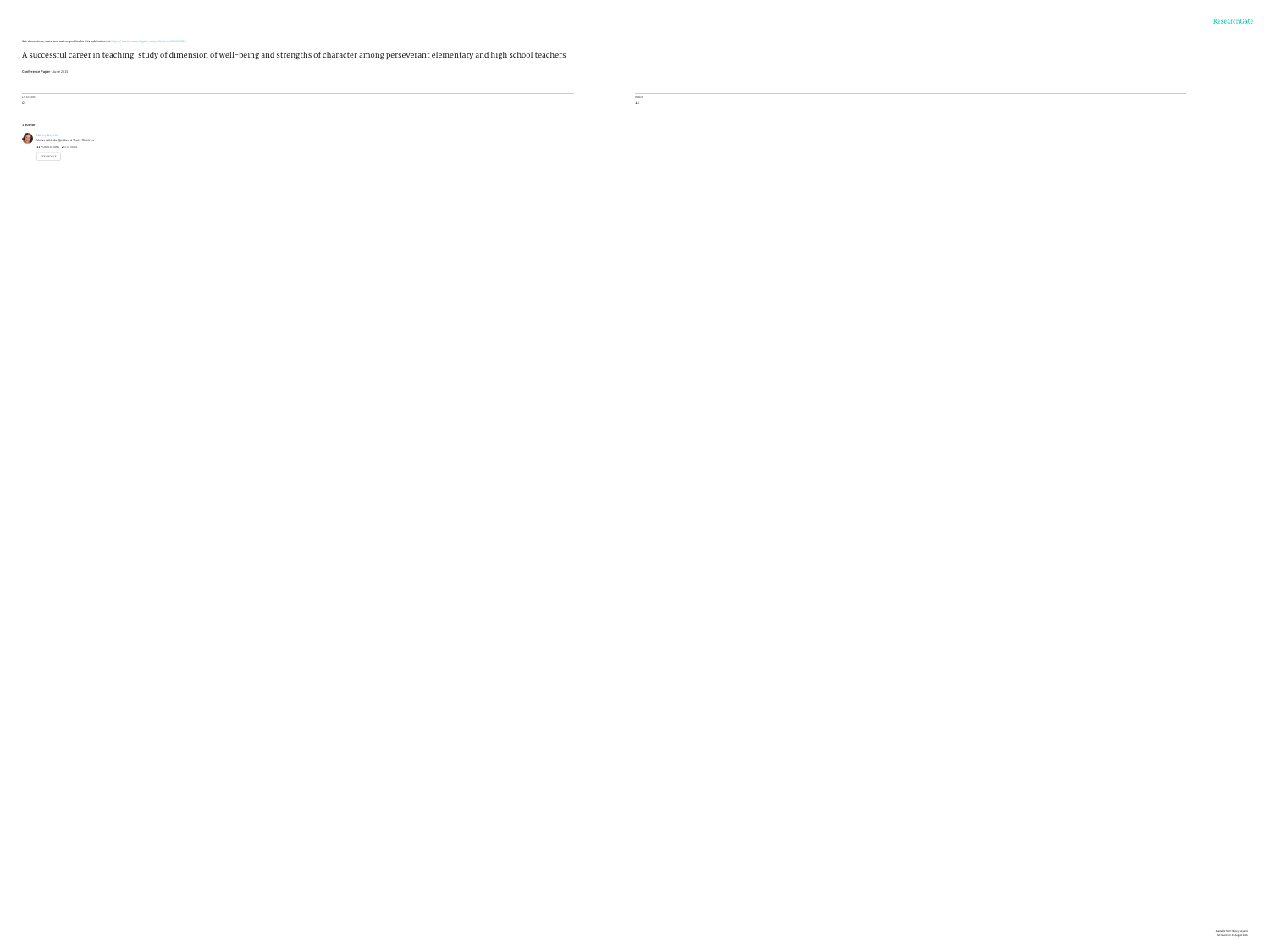Nancy [Goyette](https://www.researchgate.net/profile/Nancy_Goyette?enrichId=rgreq-209ce936403b4bda834c7d7557b68fca-XXX&enrichSource=Y292ZXJQYWdlOzI4MTExOTgxNDtBUzoyNjQ5MzcyMjIxNzY3NjhAMTQ0MDE3NzM2NDA5Mw%3D%3D&el=1_x_5) Université du Québec à [Trois-Rivières](https://www.researchgate.net/institution/Universite_du_Quebec_a_Trois-Rivieres?enrichId=rgreq-209ce936403b4bda834c7d7557b68fca-XXX&enrichSource=Y292ZXJQYWdlOzI4MTExOTgxNDtBUzoyNjQ5MzcyMjIxNzY3NjhAMTQ0MDE3NzM2NDA5Mw%3D%3D&el=1_x_6) **11** PUBLICATIONS **2** CITATIONS SEE [PROFILE](https://www.researchgate.net/profile/Nancy_Goyette?enrichId=rgreq-209ce936403b4bda834c7d7557b68fca-XXX&enrichSource=Y292ZXJQYWdlOzI4MTExOTgxNDtBUzoyNjQ5MzcyMjIxNzY3NjhAMTQ0MDE3NzM2NDA5Mw%3D%3D&el=1_x_7)

#### See discussions, stats, and author profiles for this publication at: [https://www.researchgate.net/publication/281119814](https://www.researchgate.net/publication/281119814_A_successful_career_in_teaching_study_of_dimension_of_well-being_and_strengths_of_character_among_perseverant_elementary_and_high_school_teachers?enrichId=rgreq-209ce936403b4bda834c7d7557b68fca-XXX&enrichSource=Y292ZXJQYWdlOzI4MTExOTgxNDtBUzoyNjQ5MzcyMjIxNzY3NjhAMTQ0MDE3NzM2NDA5Mw%3D%3D&el=1_x_2)

A successful career in teaching: study of dimension of well-being and strengths of character among [perseverant](https://www.researchgate.net/publication/281119814_A_successful_career_in_teaching_study_of_dimension_of_well-being_and_strengths_of_character_among_perseverant_elementary_and_high_school_teachers?enrichId=rgreq-209ce936403b4bda834c7d7557b68fca-XXX&enrichSource=Y292ZXJQYWdlOzI4MTExOTgxNDtBUzoyNjQ5MzcyMjIxNzY3NjhAMTQ0MDE3NzM2NDA5Mw%3D%3D&el=1_x_3) elementary and high school teachers

**Conference Paper** · June 2015

CITATIONS 0

**Contract Contract** 

**1 author:**

Available from: Nancy Goyette Retrieved on: 31 August 2016